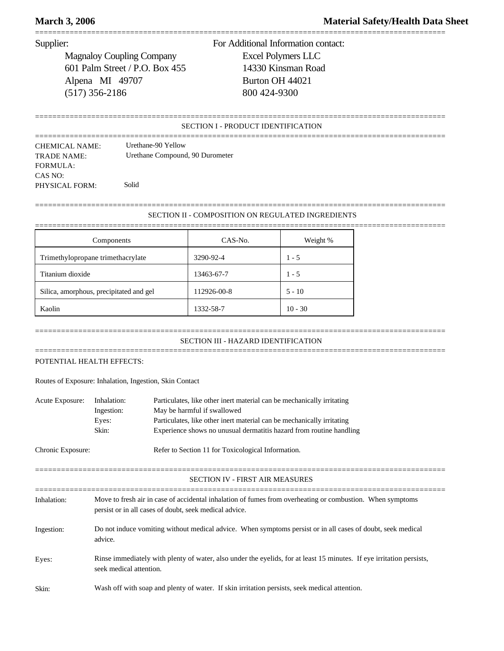Magnaloy Coupling Company Excel Polymers LLC 601 Palm Street / P.O. Box 455 14330 Kinsman Road Alpena MI 49707 Burton OH 44021 (517) 356-2186 800 424-9300

Supplier: For Additional Information contact:

## SECTION I - PRODUCT IDENTIFICATION

===============================================================================================

===============================================================================================

| <b>CHEMICAL NAME:</b> | Urethane-90 Yellow              |
|-----------------------|---------------------------------|
| TRADE NAME:           | Urethane Compound, 90 Durometer |
| FORMULA:              |                                 |
| CAS NO:               |                                 |
| PHYSICAL FORM:        | Solid                           |

## =============================================================================================== SECTION II - COMPOSITION ON REGULATED INGREDIENTS

| Components                              | CAS-No.     | Weight %  |
|-----------------------------------------|-------------|-----------|
| Trimethylopropane trimethacrylate       | 3290-92-4   | $1 - 5$   |
| Titanium dioxide                        | 13463-67-7  | $1 - 5$   |
| Silica, amorphous, precipitated and gel | 112926-00-8 | $5 - 10$  |
| Kaolin                                  | 1332-58-7   | $10 - 30$ |

## =============================================================================================== SECTION III - HAZARD IDENTIFICATION

===============================================================================================

# POTENTIAL HEALTH EFFECTS:

Routes of Exposure: Inhalation, Ingestion, Skin Contact

| Acute Exposure:   | Inhalation:<br>Ingestion:<br>Eyes:<br>Skin:                                                                                                                         | Particulates, like other inert material can be mechanically irritating<br>May be harmful if swallowed<br>Particulates, like other inert material can be mechanically irritating<br>Experience shows no unusual dermatitis hazard from routine handling |  |  |  |
|-------------------|---------------------------------------------------------------------------------------------------------------------------------------------------------------------|--------------------------------------------------------------------------------------------------------------------------------------------------------------------------------------------------------------------------------------------------------|--|--|--|
| Chronic Exposure: |                                                                                                                                                                     | Refer to Section 11 for Toxicological Information.                                                                                                                                                                                                     |  |  |  |
|                   |                                                                                                                                                                     | <b>SECTION IV - FIRST AIR MEASURES</b>                                                                                                                                                                                                                 |  |  |  |
| Inhalation:       | Move to fresh air in case of accidental inhalation of fumes from overheating or combustion. When symptoms<br>persist or in all cases of doubt, seek medical advice. |                                                                                                                                                                                                                                                        |  |  |  |
| Ingestion:        | Do not induce vomiting without medical advice. When symptoms persist or in all cases of doubt, seek medical<br>advice.                                              |                                                                                                                                                                                                                                                        |  |  |  |
| Eyes:             | Rinse immediately with plenty of water, also under the eyelids, for at least 15 minutes. If eye irritation persists,<br>seek medical attention.                     |                                                                                                                                                                                                                                                        |  |  |  |
| Skin:             | Wash off with soap and plenty of water. If skin irritation persists, seek medical attention.                                                                        |                                                                                                                                                                                                                                                        |  |  |  |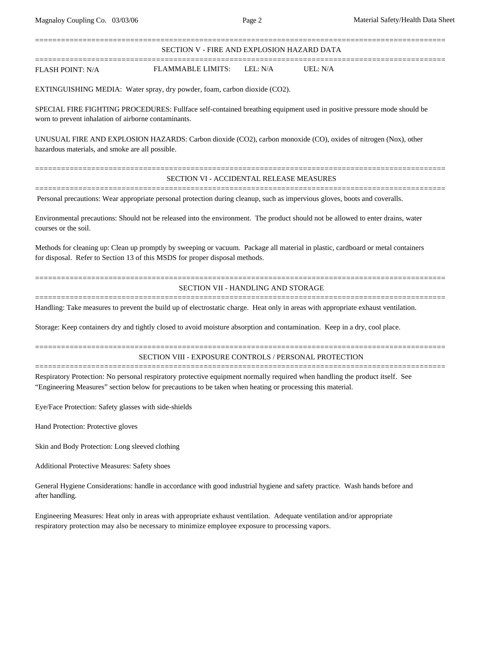=============================================================================================== SECTION V - FIRE AND EXPLOSION HAZARD DATA ===============================================================================================

FLASH POINT: N/A FLAMMABLE LIMITS: LEL: N/A UEL: N/A

EXTINGUISHING MEDIA: Water spray, dry powder, foam, carbon dioxide (CO2).

SPECIAL FIRE FIGHTING PROCEDURES: Fullface self-contained breathing equipment used in positive pressure mode should be worn to prevent inhalation of airborne contaminants.

UNUSUAL FIRE AND EXPLOSION HAZARDS: Carbon dioxide (CO2), carbon monoxide (CO), oxides of nitrogen (Nox), other hazardous materials, and smoke are all possible.

## =============================================================================================== SECTION VI - ACCIDENTAL RELEASE MEASURES ===============================================================================================

Personal precautions: Wear appropriate personal protection during cleanup, such as impervious gloves, boots and coveralls.

Environmental precautions: Should not be released into the environment. The product should not be allowed to enter drains, water courses or the soil.

Methods for cleaning up: Clean up promptly by sweeping or vacuum. Package all material in plastic, cardboard or metal containers for disposal. Refer to Section 13 of this MSDS for proper disposal methods.

## SECTION VII - HANDLING AND STORAGE

===============================================================================================

===============================================================================================

===============================================================================================

===============================================================================================

Handling: Take measures to prevent the build up of electrostatic charge. Heat only in areas with appropriate exhaust ventilation.

Storage: Keep containers dry and tightly closed to avoid moisture absorption and contamination. Keep in a dry, cool place.

## SECTION VIII - EXPOSURE CONTROLS / PERSONAL PROTECTION

Respiratory Protection: No personal respiratory protective equipment normally required when handling the product itself. See "Engineering Measures" section below for precautions to be taken when heating or processing this material.

Eye/Face Protection: Safety glasses with side-shields

Hand Protection: Protective gloves

Skin and Body Protection: Long sleeved clothing

Additional Protective Measures: Safety shoes

General Hygiene Considerations: handle in accordance with good industrial hygiene and safety practice. Wash hands before and after handling.

Engineering Measures: Heat only in areas with appropriate exhaust ventilation. Adequate ventilation and/or appropriate respiratory protection may also be necessary to minimize employee exposure to processing vapors.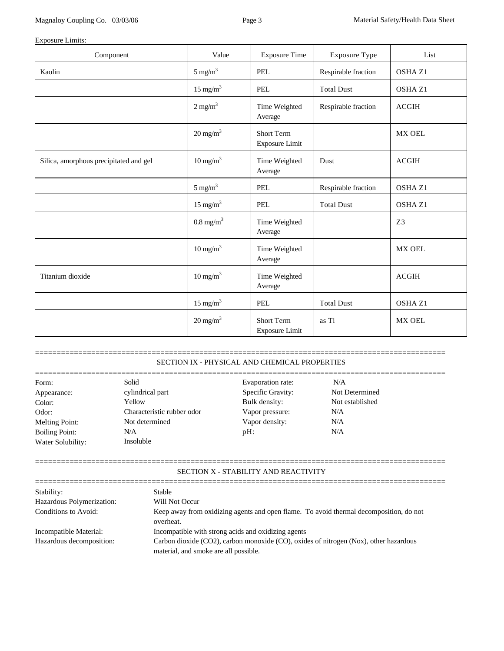# Exposure Limits:

| Component                              | Value                 | <b>Exposure Time</b>                       | Exposure Type       | List               |
|----------------------------------------|-----------------------|--------------------------------------------|---------------------|--------------------|
| Kaolin                                 | $5 \text{ mg/m}^3$    | <b>PEL</b>                                 | Respirable fraction | OSHA Z1            |
|                                        | $15 \text{ mg/m}^3$   | PEL                                        | <b>Total Dust</b>   | OSHA <sub>Z1</sub> |
|                                        | $2$ mg/m <sup>3</sup> | Time Weighted<br>Average                   | Respirable fraction | <b>ACGIH</b>       |
|                                        | $20 \text{ mg/m}^3$   | <b>Short Term</b><br><b>Exposure Limit</b> |                     | MX OEL             |
| Silica, amorphous precipitated and gel | $10 \text{ mg/m}^3$   | Time Weighted<br>Average                   | Dust                | ACGIH              |
|                                        | $5 \text{ mg/m}^3$    | <b>PEL</b>                                 | Respirable fraction | OSHA Z1            |
|                                        | $15 \text{ mg/m}^3$   | <b>PEL</b>                                 | <b>Total Dust</b>   | OSHA <sub>Z1</sub> |
|                                        | $0.8 \text{ mg/m}^3$  | Time Weighted<br>Average                   |                     | Z3                 |
|                                        | $10 \text{ mg/m}^3$   | Time Weighted<br>Average                   |                     | MX OEL             |
| Titanium dioxide                       | $10 \text{ mg/m}^3$   | Time Weighted<br>Average                   |                     | <b>ACGIH</b>       |
|                                        | $15 \text{ mg/m}^3$   | PEL                                        | <b>Total Dust</b>   | OSHA Z1            |
|                                        | $20 \text{ mg/m}^3$   | <b>Short Term</b><br><b>Exposure Limit</b> | as Ti               | <b>MX OEL</b>      |

# SECTION IX - PHYSICAL AND CHEMICAL PROPERTIES

===============================================================================================

| Form:                 | Solid                      | Evaporation rate: | N/A             |  |
|-----------------------|----------------------------|-------------------|-----------------|--|
| Appearance:           | cylindrical part           | Specific Gravity: | Not Determined  |  |
| Color:                | Yellow                     | Bulk density:     | Not established |  |
| Odor:                 | Characteristic rubber odor | Vapor pressure:   | N/A             |  |
| Melting Point:        | Not determined             | Vapor density:    | N/A             |  |
| <b>Boiling Point:</b> | N/A                        | $pH$ :            | N/A             |  |
| Water Solubility:     | <b>Insoluble</b>           |                   |                 |  |

# SECTION X - STABILITY AND REACTIVITY

===============================================================================================

| Stability:                | Stable                                                                                              |
|---------------------------|-----------------------------------------------------------------------------------------------------|
| Hazardous Polymerization: | Will Not Occur                                                                                      |
| Conditions to Avoid:      | Keep away from oxidizing agents and open flame. To avoid thermal decomposition, do not<br>overheat. |
| Incompatible Material:    | Incompatible with strong acids and oxidizing agents                                                 |
| Hazardous decomposition:  | Carbon dioxide (CO2), carbon monoxide (CO), oxides of nitrogen (Nox), other hazardous               |
|                           | material, and smoke are all possible.                                                               |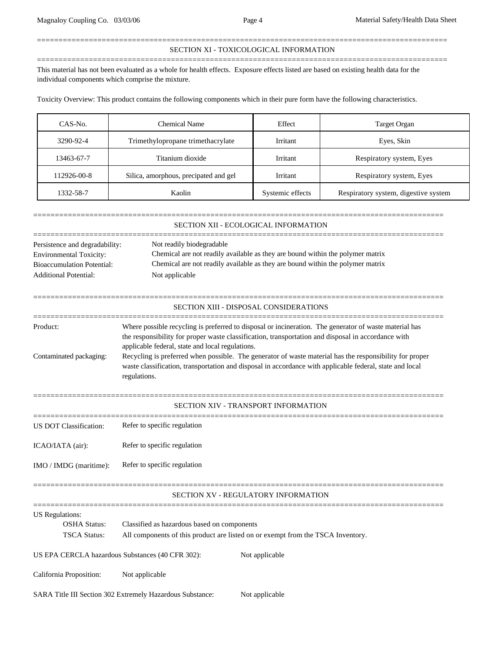## =============================================================================================== SECTION XI - TOXICOLOGICAL INFORMATION

This material has not been evaluated as a whole for health effects. Exposure effects listed are based on existing health data for the individual components which comprise the mixture.

===============================================================================================

Toxicity Overview: This product contains the following components which in their pure form have the following characteristics.

| CAS-No.             | Chemical Name                         | Effect           | Target Organ                         |
|---------------------|---------------------------------------|------------------|--------------------------------------|
| 3290-92-4           | Trimethylopropane trimethacrylate     |                  | Eyes, Skin                           |
| 13463-67-7          | Titanium dioxide                      |                  | Respiratory system, Eyes             |
| 112926-00-8         | Silica, amorphous, precipated and gel |                  | Respiratory system, Eyes             |
| Kaolin<br>1332-58-7 |                                       | Systemic effects | Respiratory system, digestive system |

|                                                                                                                                                                                                                                                                                                                                                                                                                                                                                                                                                | SECTION XII - ECOLOGICAL INFORMATION                                                                                                                                                                            |  |  |  |  |
|------------------------------------------------------------------------------------------------------------------------------------------------------------------------------------------------------------------------------------------------------------------------------------------------------------------------------------------------------------------------------------------------------------------------------------------------------------------------------------------------------------------------------------------------|-----------------------------------------------------------------------------------------------------------------------------------------------------------------------------------------------------------------|--|--|--|--|
| Persistence and degradability:<br><b>Environmental Toxicity:</b><br><b>Bioaccumulation Potential:</b><br><b>Additional Potential:</b>                                                                                                                                                                                                                                                                                                                                                                                                          | Not readily biodegradable<br>Chemical are not readily available as they are bound within the polymer matrix<br>Chemical are not readily available as they are bound within the polymer matrix<br>Not applicable |  |  |  |  |
|                                                                                                                                                                                                                                                                                                                                                                                                                                                                                                                                                | SECTION XIII - DISPOSAL CONSIDERATIONS                                                                                                                                                                          |  |  |  |  |
| Where possible recycling is preferred to disposal or incineration. The generator of waste material has<br>Product:<br>the responsibility for proper waste classification, transportation and disposal in accordance with<br>applicable federal, state and local regulations.<br>Recycling is preferred when possible. The generator of waste material has the responsibility for proper<br>Contaminated packaging:<br>waste classification, transportation and disposal in accordance with applicable federal, state and local<br>regulations. |                                                                                                                                                                                                                 |  |  |  |  |
|                                                                                                                                                                                                                                                                                                                                                                                                                                                                                                                                                | SECTION XIV - TRANSPORT INFORMATION                                                                                                                                                                             |  |  |  |  |
| <b>US DOT Classification:</b>                                                                                                                                                                                                                                                                                                                                                                                                                                                                                                                  | Refer to specific regulation                                                                                                                                                                                    |  |  |  |  |
| ICAO/IATA (air):                                                                                                                                                                                                                                                                                                                                                                                                                                                                                                                               | Refer to specific regulation                                                                                                                                                                                    |  |  |  |  |
| IMO / IMDG (maritime):                                                                                                                                                                                                                                                                                                                                                                                                                                                                                                                         | Refer to specific regulation                                                                                                                                                                                    |  |  |  |  |
|                                                                                                                                                                                                                                                                                                                                                                                                                                                                                                                                                | SECTION XV - REGULATORY INFORMATION                                                                                                                                                                             |  |  |  |  |
| <b>US</b> Regulations:<br><b>OSHA Status:</b><br>Classified as hazardous based on components<br><b>TSCA Status:</b><br>All components of this product are listed on or exempt from the TSCA Inventory.                                                                                                                                                                                                                                                                                                                                         |                                                                                                                                                                                                                 |  |  |  |  |
| US EPA CERCLA hazardous Substances (40 CFR 302):                                                                                                                                                                                                                                                                                                                                                                                                                                                                                               | Not applicable                                                                                                                                                                                                  |  |  |  |  |
| California Proposition:                                                                                                                                                                                                                                                                                                                                                                                                                                                                                                                        | Not applicable                                                                                                                                                                                                  |  |  |  |  |
|                                                                                                                                                                                                                                                                                                                                                                                                                                                                                                                                                | SARA Title III Section 302 Extremely Hazardous Substance:<br>Not applicable                                                                                                                                     |  |  |  |  |
|                                                                                                                                                                                                                                                                                                                                                                                                                                                                                                                                                |                                                                                                                                                                                                                 |  |  |  |  |